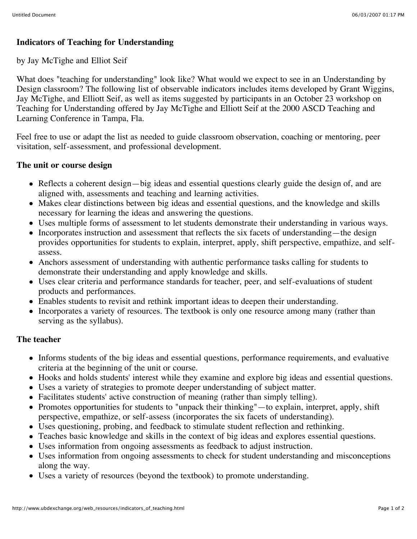# **Indicators of Teaching for Understanding**

#### by Jay McTighe and Elliot Seif

What does "teaching for understanding" look like? What would we expect to see in an Understanding by Design classroom? The following list of observable indicators includes items developed by Grant Wiggins, Jay McTighe, and Elliott Seif, as well as items suggested by participants in an October 23 workshop on Teaching for Understanding offered by Jay McTighe and Elliott Seif at the 2000 ASCD Teaching and Learning Conference in Tampa, Fla.

Feel free to use or adapt the list as needed to guide classroom observation, coaching or mentoring, peer visitation, self-assessment, and professional development.

#### **The unit or course design**

- Reflects a coherent design—big ideas and essential questions clearly guide the design of, and are aligned with, assessments and teaching and learning activities.
- Makes clear distinctions between big ideas and essential questions, and the knowledge and skills necessary for learning the ideas and answering the questions.
- Uses multiple forms of assessment to let students demonstrate their understanding in various ways.
- Incorporates instruction and assessment that reflects the six facets of understanding—the design provides opportunities for students to explain, interpret, apply, shift perspective, empathize, and selfassess.
- Anchors assessment of understanding with authentic performance tasks calling for students to demonstrate their understanding and apply knowledge and skills.
- Uses clear criteria and performance standards for teacher, peer, and self-evaluations of student products and performances.
- Enables students to revisit and rethink important ideas to deepen their understanding.
- Incorporates a variety of resources. The textbook is only one resource among many (rather than serving as the syllabus).

#### **The teacher**

- Informs students of the big ideas and essential questions, performance requirements, and evaluative criteria at the beginning of the unit or course.
- Hooks and holds students' interest while they examine and explore big ideas and essential questions.
- Uses a variety of strategies to promote deeper understanding of subject matter.
- Facilitates students' active construction of meaning (rather than simply telling).
- Promotes opportunities for students to "unpack their thinking"—to explain, interpret, apply, shift perspective, empathize, or self-assess (incorporates the six facets of understanding).
- Uses questioning, probing, and feedback to stimulate student reflection and rethinking.
- Teaches basic knowledge and skills in the context of big ideas and explores essential questions.
- Uses information from ongoing assessments as feedback to adjust instruction.
- Uses information from ongoing assessments to check for student understanding and misconceptions along the way.
- Uses a variety of resources (beyond the textbook) to promote understanding.